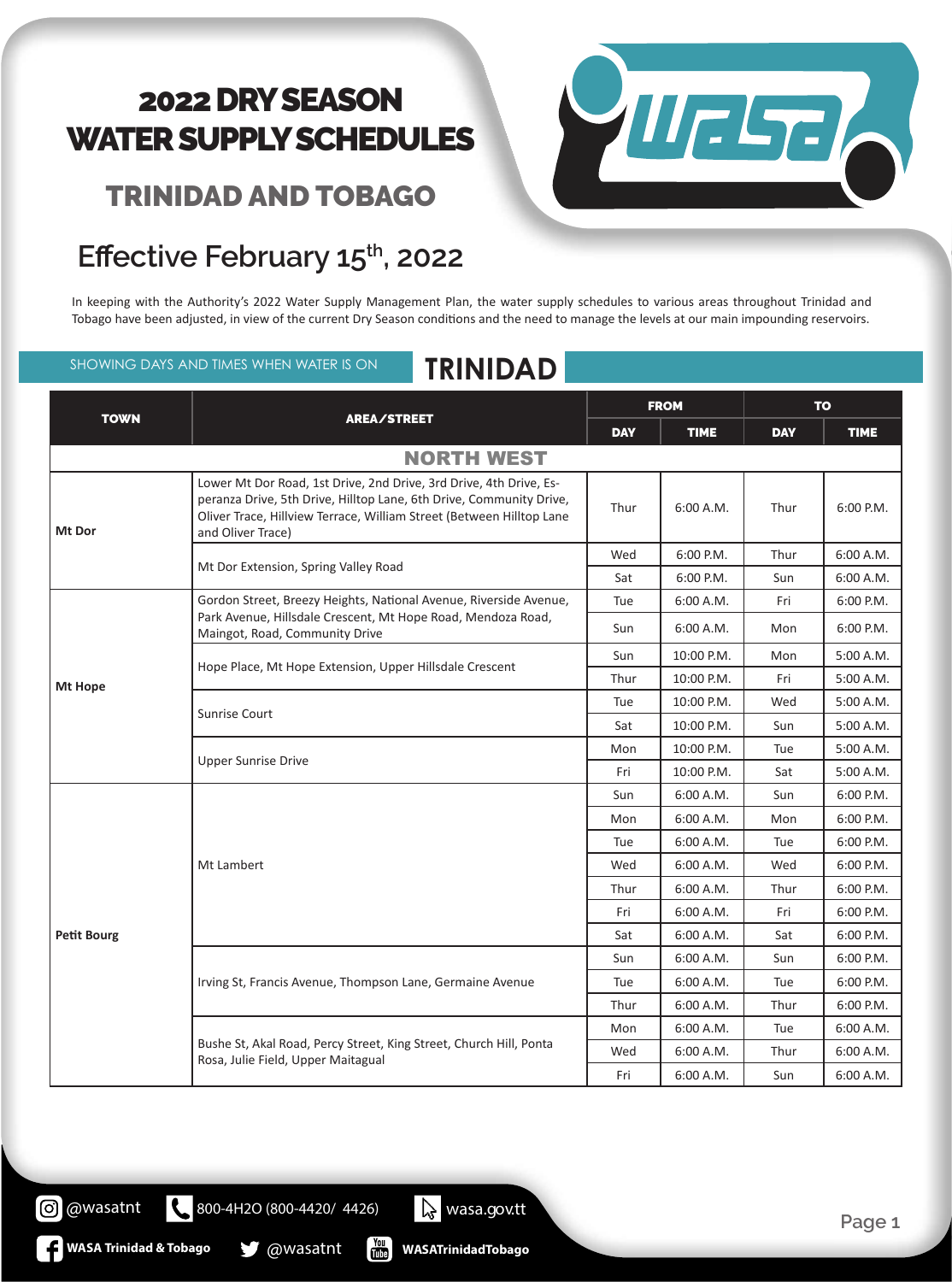#### TRINIDAD AND TOBAGO



#### **Effective February 15th, 2022**

In keeping with the Authority's 2022 Water Supply Management Plan, the water supply schedules to various areas throughout Trinidad and Tobago have been adjusted, in view of the current Dry Season conditions and the need to manage the levels at our main impounding reservoirs.

#### SHOWING DAYS AND TIMES WHEN WATER IS ON **TRINIDAD**

#### TOWN REALS TOWN FROM TO DAY TIME DAY TIME NORTH WEST **Mt Dor** Lower Mt Dor Road, 1st Drive, 2nd Drive, 3rd Drive, 4th Drive, Esperanza Drive, 5th Drive, Hilltop Lane, 6th Drive, Community Drive, Oliver Trace, Hillview Terrace, William Street (Between Hilltop Lane and Oliver Trace) Thur | 6:00 A.M. | Thur | 6:00 P.M. Mt Dor Extension, Spring Valley Road Wed | 6:00 P.M. | Thur | 6:00 A.M. Sat  $\begin{array}{|c|c|c|c|c|c|c|c|c|} \hline \end{array}$  6:00 A.M. **Mt Hope** Gordon Street, Breezy Heights, National Avenue, Riverside Avenue, Park Avenue, Hillsdale Crescent, Mt Hope Road, Mendoza Road, Maingot, Road, Community Drive Tue | 6:00 A.M. | Fri | 6:00 P.M. Sun | 6:00 A.M. | Mon | 6:00 P.M. Hope Place, Mt Hope Extension, Upper Hillsdale Crescent Sun | 10:00 P.M. | Mon | 5:00 A.M. Thur | 10:00 P.M. | Fri | 5:00 A.M. Sunrise Court Tue  $10:00$  P.M. Wed  $5:00$  A.M. Sat | 10:00 P.M. | Sun | 5:00 A.M. Upper Sunrise Drive Mon | 10:00 P.M. | Tue | 5:00 A.M. Fri | 10:00 P.M. | Sat | 5:00 A.M. **Petit Bourg** Mt Lambert Sun | 6:00 A.M. | Sun | 6:00 P.M. Mon 6:00 AM Mon 6:00 PM Tue 6:00 A.M. Tue 6:00 P.M. Wed | 6:00 A.M. | Wed | 6:00 P.M. Thur | 6:00 A.M. | Thur | 6:00 P.M. Fri 6:00 A.M. Fri 6:00 P.M. Sat |  $6:00$  A.M. | Sat |  $6:00$  P.M. Irving St, Francis Avenue, Thompson Lane, Germaine Avenue Sun | 6:00 A.M. | Sun | 6:00 P.M. Tue | 6:00 A.M. | Tue | 6:00 P.M. Thur 6:00 A.M. Thur 6:00 P.M. Bushe St, Akal Road, Percy Street, King Street, Church Hill, Ponta Rosa, Julie Field, Upper Maitagual Mon | 6:00 A.M. | Tue | 6:00 A.M. Wed | 6:00 A.M. | Thur | 6:00 A.M. Fri | 6:00 A.M. | Sun | 6:00 A.M.

**WASATrinidadTobago**

800-4H2O (800-4420/ 4426) wasa.gov.tt

**WASA Trinidad & Tobago @Wasatnt** 

@wasatnt

(၀)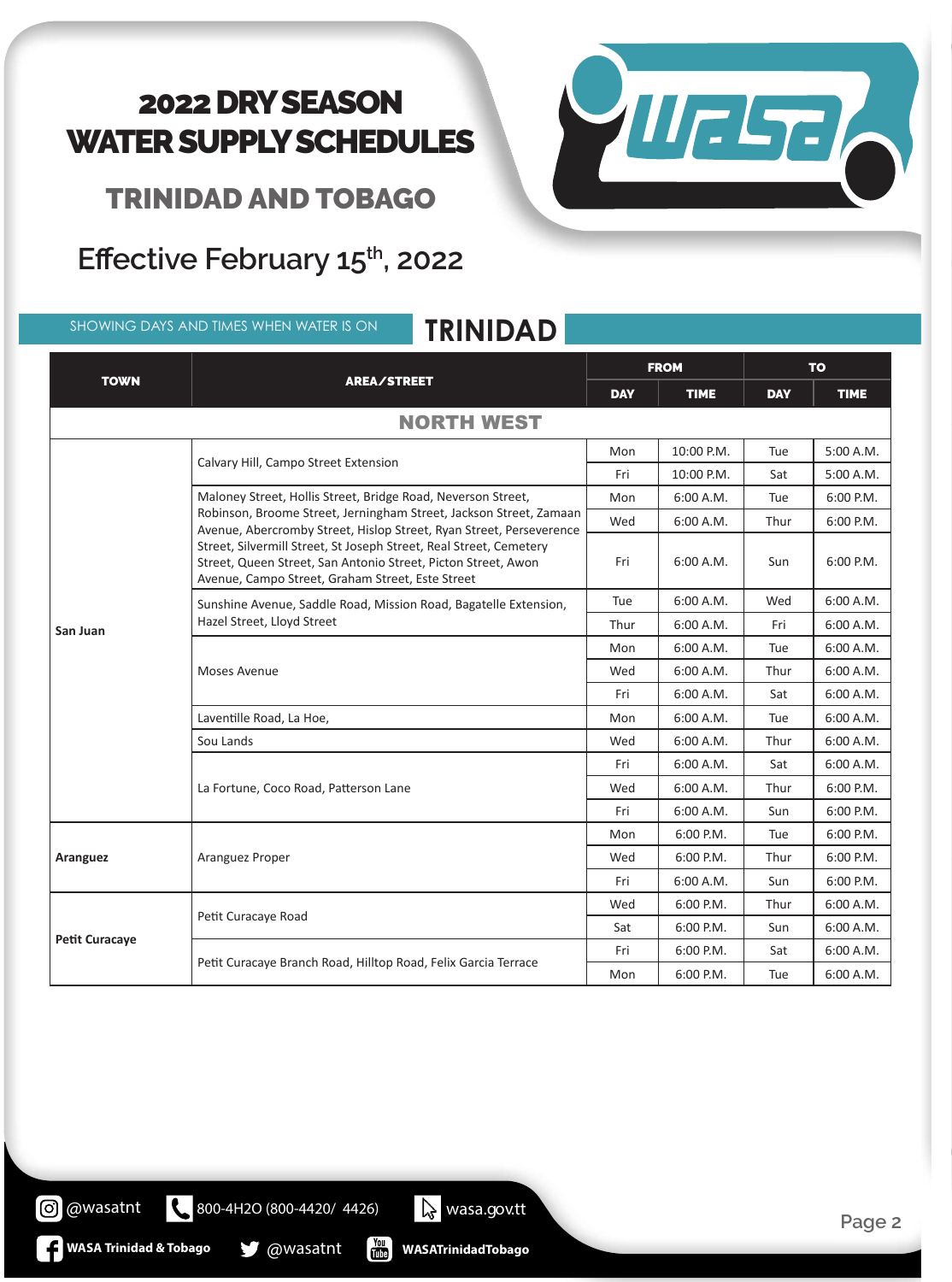

TRINIDAD AND TOBAGO

#### Effective February 15<sup>th</sup>, 2022

SHOWING DAYS AND TIMES WHEN WATER IS ON **TRINIDAD**

| <b>TOWN</b>           |                                                                                                                                                                                         | <b>FROM</b> |             | <b>TO</b>  |             |
|-----------------------|-----------------------------------------------------------------------------------------------------------------------------------------------------------------------------------------|-------------|-------------|------------|-------------|
|                       | AREA/STREET                                                                                                                                                                             | <b>DAY</b>  | <b>TIME</b> | <b>DAY</b> | <b>TIME</b> |
|                       | <b>NORTH WEST</b>                                                                                                                                                                       |             |             |            |             |
|                       |                                                                                                                                                                                         | Mon         | 10:00 P.M.  | Tue        | 5:00 A.M.   |
|                       | Calvary Hill, Campo Street Extension                                                                                                                                                    | Fri         | 10:00 P.M.  | Sat        | 5:00 A.M.   |
|                       | Maloney Street, Hollis Street, Bridge Road, Neverson Street,                                                                                                                            | Mon         | 6:00 A.M.   | Tue        | 6:00 P.M.   |
|                       | Robinson, Broome Street, Jerningham Street, Jackson Street, Zamaan<br>Avenue, Abercromby Street, Hislop Street, Ryan Street, Perseverence                                               | Wed         | 6:00 A.M.   | Thur       | 6:00 P.M.   |
|                       | Street, Silvermill Street, St Joseph Street, Real Street, Cemetery<br>Street, Queen Street, San Antonio Street, Picton Street, Awon<br>Avenue, Campo Street, Graham Street, Este Street | Fri         | 6:00 A.M.   | Sun        | $6:00$ P.M. |
|                       | Sunshine Avenue, Saddle Road, Mission Road, Bagatelle Extension,<br>Hazel Street, Lloyd Street                                                                                          | Tue         | 6:00 A.M.   | Wed        | 6:00 A.M.   |
| San Juan              |                                                                                                                                                                                         | Thur        | 6:00 A.M.   | Fri        | 6:00 A.M.   |
|                       |                                                                                                                                                                                         | Mon         | 6:00 A.M.   | Tue        | 6:00 A.M.   |
|                       | <b>Moses Avenue</b>                                                                                                                                                                     | Wed         | 6:00 A.M.   | Thur       | 6:00 A.M.   |
|                       |                                                                                                                                                                                         | Fri         | 6:00 A.M.   | Sat        | 6:00 A.M.   |
|                       | Laventille Road, La Hoe,                                                                                                                                                                | Mon         | 6:00 A.M.   | Tue        | 6:00 A.M.   |
|                       | Sou Lands                                                                                                                                                                               | Wed         | 6:00 A.M.   | Thur       | 6:00 A.M.   |
|                       |                                                                                                                                                                                         | Fri         | 6:00 A.M.   | Sat        | 6:00 A.M.   |
|                       | La Fortune, Coco Road, Patterson Lane                                                                                                                                                   | Wed         | 6:00 A.M.   | Thur       | 6:00 P.M.   |
|                       |                                                                                                                                                                                         | Fri         | 6:00 A.M.   | Sun        | 6:00 P.M.   |
|                       |                                                                                                                                                                                         | Mon         | 6:00 P.M.   | Tue        | 6:00 P.M.   |
| <b>Aranguez</b>       | Aranguez Proper                                                                                                                                                                         | Wed         | 6:00 P.M.   | Thur       | 6:00 P.M.   |
|                       |                                                                                                                                                                                         | Fri         | 6:00 A.M.   | Sun        | 6:00 P.M.   |
|                       |                                                                                                                                                                                         | Wed         | 6:00 P.M.   | Thur       | 6:00 A.M.   |
|                       | Petit Curacaye Road                                                                                                                                                                     | Sat         | 6:00 P.M.   | Sun        | 6:00 A.M.   |
| <b>Petit Curacaye</b> |                                                                                                                                                                                         | Fri         | 6:00 P.M.   | Sat        | 6:00 A.M.   |
|                       | Petit Curacaye Branch Road, Hilltop Road, Felix Garcia Terrace                                                                                                                          | Mon         | 6:00 P.M.   | Tue        | 6:00 A.M.   |

**WASATrinidadTobago**

800-4H2O (800-4420/ 4426) wasa.gov.tt

 $\begin{bmatrix} \gamma_{01} \\ \gamma_{11} \\ \gamma_{21} \end{bmatrix}$ 

**WASA Trinidad & Tobago @wasatnt** 

@wasatnt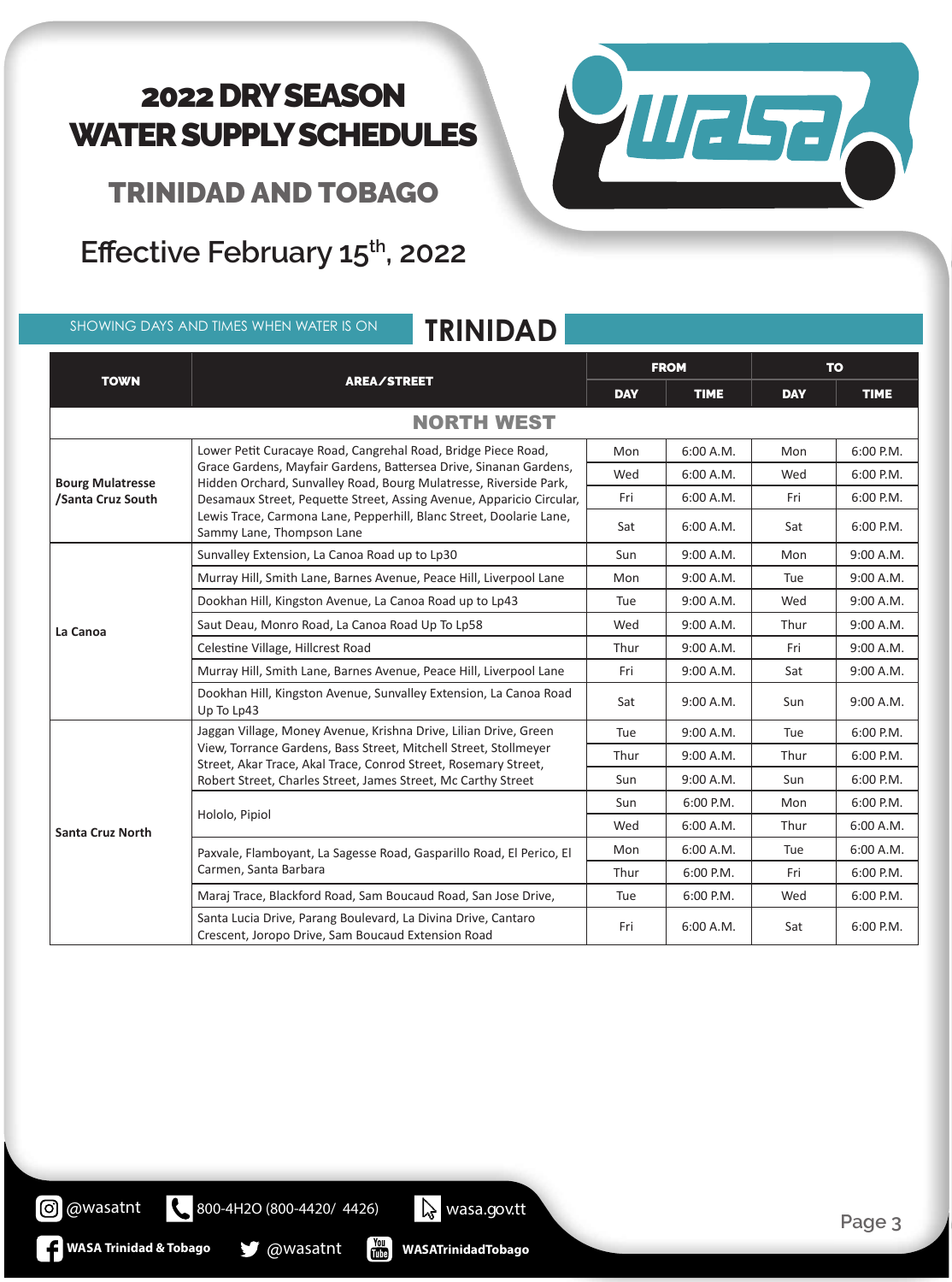

TRINIDAD AND TOBAGO

Effective February 15<sup>th</sup>, 2022

SHOWING DAYS AND TIMES WHEN WATER IS ON **TRINIDAD**

| <b>TOWN</b>                                  |                                                                                                                                                                                                                                                                                                                                                                                     | <b>FROM</b> |             | <b>TO</b>  |             |  |
|----------------------------------------------|-------------------------------------------------------------------------------------------------------------------------------------------------------------------------------------------------------------------------------------------------------------------------------------------------------------------------------------------------------------------------------------|-------------|-------------|------------|-------------|--|
|                                              | AREA/STREET                                                                                                                                                                                                                                                                                                                                                                         | <b>DAY</b>  | <b>TIME</b> | <b>DAY</b> | <b>TIME</b> |  |
| <b>NORTH WEST</b>                            |                                                                                                                                                                                                                                                                                                                                                                                     |             |             |            |             |  |
|                                              | Lower Petit Curacaye Road, Cangrehal Road, Bridge Piece Road,<br>Grace Gardens, Mayfair Gardens, Battersea Drive, Sinanan Gardens,<br>Hidden Orchard, Sunvalley Road, Bourg Mulatresse, Riverside Park,<br>Desamaux Street, Pequette Street, Assing Avenue, Apparicio Circular,<br>Lewis Trace, Carmona Lane, Pepperhill, Blanc Street, Doolarie Lane,<br>Sammy Lane, Thompson Lane | Mon         | 6:00 A.M.   | Mon        | 6:00 P.M.   |  |
| <b>Bourg Mulatresse</b><br>/Santa Cruz South |                                                                                                                                                                                                                                                                                                                                                                                     | Wed         | 6:00 A.M.   | Wed        | 6:00 P.M.   |  |
|                                              |                                                                                                                                                                                                                                                                                                                                                                                     | Fri         | 6:00 A.M.   | Fri        | 6:00 P.M.   |  |
|                                              |                                                                                                                                                                                                                                                                                                                                                                                     | Sat         | 6:00 A.M.   | Sat        | 6:00 P.M.   |  |
|                                              | Sunvalley Extension, La Canoa Road up to Lp30                                                                                                                                                                                                                                                                                                                                       | Sun         | 9:00 A.M.   | Mon        | 9:00 A.M.   |  |
|                                              | Murray Hill, Smith Lane, Barnes Avenue, Peace Hill, Liverpool Lane                                                                                                                                                                                                                                                                                                                  | Mon         | 9:00 A.M.   | Tue        | 9:00 A.M.   |  |
|                                              | Dookhan Hill, Kingston Avenue, La Canoa Road up to Lp43                                                                                                                                                                                                                                                                                                                             | Tue         | 9:00 A.M.   | Wed        | 9:00 A.M.   |  |
| La Canoa                                     | Saut Deau, Monro Road, La Canoa Road Up To Lp58                                                                                                                                                                                                                                                                                                                                     | Wed         | 9:00 A.M.   | Thur       | 9:00 A.M.   |  |
|                                              | Celestine Village, Hillcrest Road                                                                                                                                                                                                                                                                                                                                                   | Thur        | 9:00 A.M.   | Fri        | 9:00 A.M.   |  |
|                                              | Murray Hill, Smith Lane, Barnes Avenue, Peace Hill, Liverpool Lane                                                                                                                                                                                                                                                                                                                  | Fri         | 9:00 A.M.   | Sat        | 9:00 A.M.   |  |
|                                              | Dookhan Hill, Kingston Avenue, Sunvalley Extension, La Canoa Road<br>Up To Lp43                                                                                                                                                                                                                                                                                                     | Sat         | 9:00 A.M.   | Sun        | 9:00 A.M.   |  |
|                                              | Jaggan Village, Money Avenue, Krishna Drive, Lilian Drive, Green                                                                                                                                                                                                                                                                                                                    | Tue         | 9:00 A.M.   | Tue        | 6:00 P.M.   |  |
|                                              | View, Torrance Gardens, Bass Street, Mitchell Street, Stollmeyer<br>Street, Akar Trace, Akal Trace, Conrod Street, Rosemary Street,                                                                                                                                                                                                                                                 | Thur        | 9:00 A.M.   | Thur       | 6:00 P.M.   |  |
|                                              | Robert Street, Charles Street, James Street, Mc Carthy Street                                                                                                                                                                                                                                                                                                                       | Sun         | 9:00 A.M.   | Sun        | 6:00 P.M.   |  |
|                                              |                                                                                                                                                                                                                                                                                                                                                                                     | Sun         | $6:00$ P.M. | Mon        | 6:00 P.M.   |  |
| <b>Santa Cruz North</b>                      | Hololo, Pipiol                                                                                                                                                                                                                                                                                                                                                                      | Wed         | 6:00 A.M.   | Thur       | 6:00 A.M.   |  |
|                                              | Paxvale, Flamboyant, La Sagesse Road, Gasparillo Road, El Perico, El                                                                                                                                                                                                                                                                                                                | Mon         | 6:00 A.M.   | Tue        | 6:00 A.M.   |  |
|                                              | Carmen, Santa Barbara                                                                                                                                                                                                                                                                                                                                                               | Thur        | 6:00 P.M.   | Fri        | 6:00 P.M.   |  |
|                                              | Maraj Trace, Blackford Road, Sam Boucaud Road, San Jose Drive,                                                                                                                                                                                                                                                                                                                      | Tue         | 6:00 P.M.   | Wed        | 6:00 P.M.   |  |
|                                              | Santa Lucia Drive, Parang Boulevard, La Divina Drive, Cantaro<br>Crescent, Joropo Drive, Sam Boucaud Extension Road                                                                                                                                                                                                                                                                 | Fri         | 6:00 A.M.   | Sat        | 6:00 P.M.   |  |

**WASATrinidadTobago**

800-4H2O (800-4420/ 4426) wasa.gov.tt

 $\begin{bmatrix} \gamma_{01} \\ \gamma_{11} \\ \gamma_{21} \end{bmatrix}$ 

**WASA Trinidad & Tobago @wasatnt** 

@wasatnt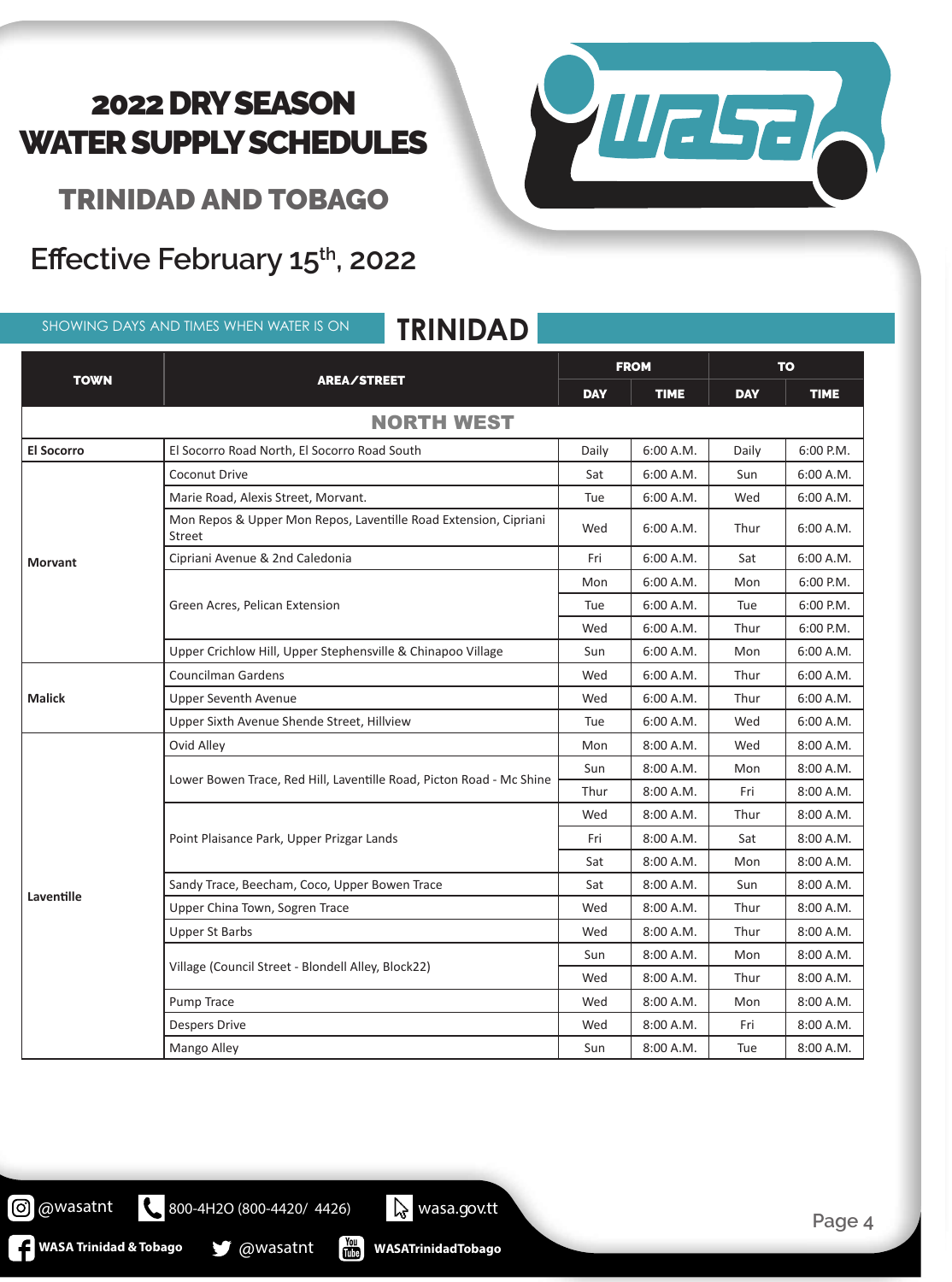

TRINIDAD AND TOBAGO

#### Effective February 15<sup>th</sup>, 2022

SHOWING DAYS AND TIMES WHEN WATER IS ON **TRINIDAD**

| <b>TOWN</b>       |                                                                                   | <b>FROM</b> |             | <b>TO</b>  |             |  |
|-------------------|-----------------------------------------------------------------------------------|-------------|-------------|------------|-------------|--|
|                   | <b>AREA/STREET</b>                                                                | <b>DAY</b>  | <b>TIME</b> | <b>DAY</b> | <b>TIME</b> |  |
| <b>NORTH WEST</b> |                                                                                   |             |             |            |             |  |
| <b>El Socorro</b> | El Socorro Road North, El Socorro Road South                                      | Daily       | 6:00 A.M.   | Daily      | 6:00 P.M.   |  |
|                   | Coconut Drive                                                                     | Sat         | 6:00 A.M.   | Sun        | 6:00 A.M.   |  |
|                   | Marie Road, Alexis Street, Morvant.                                               | Tue         | 6:00 A.M.   | Wed        | 6:00 A.M.   |  |
|                   | Mon Repos & Upper Mon Repos, Laventille Road Extension, Cipriani<br><b>Street</b> | Wed         | 6:00 A.M.   | Thur       | 6:00 A.M.   |  |
| <b>Morvant</b>    | Cipriani Avenue & 2nd Caledonia                                                   | Fri         | 6:00 A.M.   | Sat        | 6:00 A.M.   |  |
|                   |                                                                                   | Mon         | 6:00 A.M.   | Mon        | 6:00 P.M.   |  |
|                   | Green Acres, Pelican Extension                                                    | Tue         | 6:00 A.M.   | Tue        | $6:00$ P.M. |  |
|                   |                                                                                   | Wed         | 6:00 A.M.   | Thur       | 6:00 P.M.   |  |
|                   | Upper Crichlow Hill, Upper Stephensville & Chinapoo Village                       | Sun         | 6:00 A.M.   | Mon        | 6:00 A.M.   |  |
|                   | <b>Councilman Gardens</b>                                                         | Wed         | 6:00 A.M.   | Thur       | 6:00 A.M.   |  |
| <b>Malick</b>     | <b>Upper Seventh Avenue</b>                                                       | Wed         | 6:00 A.M.   | Thur       | 6:00 A.M.   |  |
|                   | Upper Sixth Avenue Shende Street, Hillview                                        | Tue         | 6:00 A.M.   | Wed        | 6:00 A.M.   |  |
|                   | Ovid Alley                                                                        | Mon         | 8:00 A.M.   | Wed        | 8:00 A.M.   |  |
|                   |                                                                                   | Sun         | 8:00 A.M.   | Mon        | 8:00 A.M.   |  |
|                   | Lower Bowen Trace, Red Hill, Laventille Road, Picton Road - Mc Shine              | Thur        | 8:00 A.M.   | Fri        | 8:00 A.M.   |  |
|                   |                                                                                   | Wed         | 8:00 A.M.   | Thur       | 8:00 A.M.   |  |
|                   | Point Plaisance Park, Upper Prizgar Lands                                         | Fri         | 8:00 A.M.   | Sat        | 8:00 A.M.   |  |
| Laventille        |                                                                                   | Sat         | 8:00 A.M.   | Mon        | 8:00 A.M.   |  |
|                   | Sandy Trace, Beecham, Coco, Upper Bowen Trace                                     | Sat         | 8:00 A.M.   | Sun        | 8:00 A.M.   |  |
|                   | Upper China Town, Sogren Trace                                                    | Wed         | 8:00 A.M.   | Thur       | 8:00 A.M.   |  |
|                   | <b>Upper St Barbs</b>                                                             | Wed         | 8:00 A.M.   | Thur       | 8:00 A.M.   |  |
|                   |                                                                                   | Sun         | 8:00 A.M.   | Mon        | 8:00 A.M.   |  |
|                   | Village (Council Street - Blondell Alley, Block22)                                | Wed         | 8:00 A.M.   | Thur       | 8:00 A.M.   |  |
|                   | Pump Trace                                                                        | Wed         | 8:00 A.M.   | Mon        | 8:00 A.M.   |  |
|                   | <b>Despers Drive</b>                                                              | Wed         | 8:00 A.M.   | Fri        | 8:00 A.M.   |  |
|                   | Mango Alley                                                                       | Sun         | 8:00 A.M.   | Tue        | 8:00 A.M.   |  |

@wasatnt

800-4H2O (800-4420/ 4426) Wasa.gov.tt

**MASA Trinidad & Tobago & @wasatnt** 

 $\frac{Y_{\text{OU}}}{U_{\text{UD}}}$ **WASATrinidadTobago** **Page 4**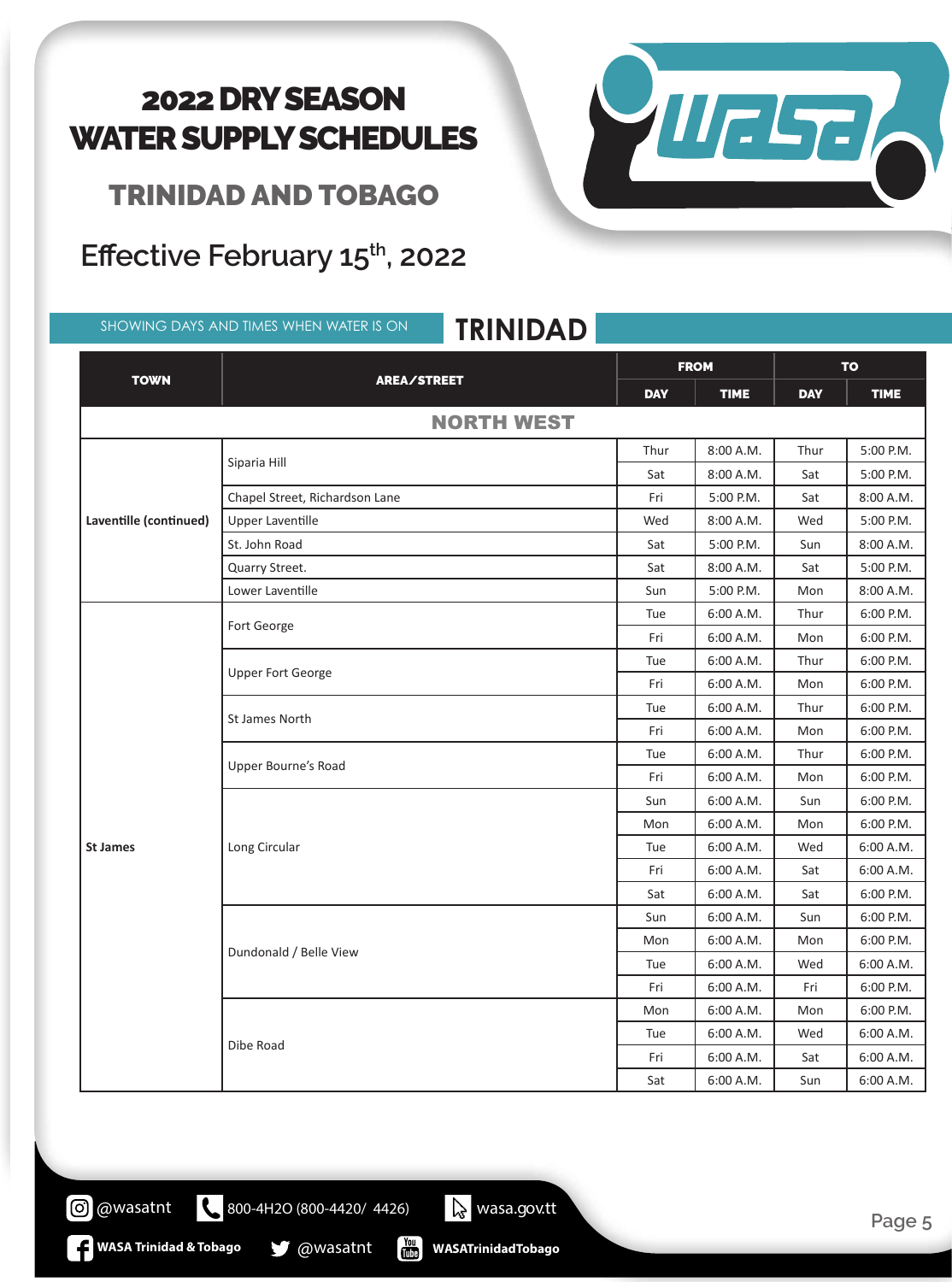TRINIDAD AND TOBAGO

Effective February 15<sup>th</sup>, 2022

#### SHOWING DAYS AND TIMES WHEN WATER IS ON **TRINIDAD**



|                        | ININEAD                           |             |             |            |                                                                            |  |
|------------------------|-----------------------------------|-------------|-------------|------------|----------------------------------------------------------------------------|--|
| <b>TOWN</b>            |                                   | <b>FROM</b> |             | <b>TO</b>  |                                                                            |  |
|                        | AREA/STREET                       | <b>DAY</b>  | <b>TIME</b> | <b>DAY</b> | <b>TIME</b>                                                                |  |
| <b>NORTH WEST</b>      |                                   |             |             |            |                                                                            |  |
|                        |                                   | Thur        | 8:00 A.M.   | Thur       | 5:00 P.M.                                                                  |  |
|                        | Siparia Hill                      | Sat         | 8:00 A.M.   | Sat        | 5:00 P.M.                                                                  |  |
|                        | Chapel Street, Richardson Lane    | Fri         | 5:00 P.M.   | Sat        | 8:00 A.M.                                                                  |  |
| Laventille (continued) | <b>Upper Laventille</b>           | Wed         | 8:00 A.M.   | Wed        | 5:00 P.M.                                                                  |  |
|                        | St. John Road                     | Sat         | 5:00 P.M.   | Sun        | 8:00 A.M.                                                                  |  |
|                        | Quarry Street.                    | Sat         | 8:00 A.M.   | Sat        | 5:00 P.M.                                                                  |  |
|                        | Lower Laventille                  | Sun         | 5:00 P.M.   | Mon        | 8:00 A.M.                                                                  |  |
|                        |                                   | Tue         | 6:00 A.M.   | Thur       | 6:00 P.M.                                                                  |  |
|                        | Fort George                       | Fri         | 6:00 A.M.   | Mon        | 6:00 P.M.                                                                  |  |
|                        | <b>Upper Fort George</b>          | Tue         | 6:00 A.M.   | Thur       | 6:00 P.M.                                                                  |  |
|                        |                                   | Fri         | 6:00 A.M.   | Mon        | 6:00 P.M.                                                                  |  |
|                        |                                   | Tue         | 6:00 A.M.   | Thur       | 6:00 P.M.                                                                  |  |
|                        | St James North                    | Fri         | 6:00 A.M.   | Mon        | 6:00 P.M.<br>6:00 P.M.<br>6:00 P.M.<br>6:00 P.M.                           |  |
|                        | Tue<br>Upper Bourne's Road<br>Fri |             | 6:00 A.M.   | Thur       |                                                                            |  |
|                        |                                   | 6:00 A.M.   | Mon         |            |                                                                            |  |
|                        |                                   | Sun         | 6:00 A.M.   | Sun        |                                                                            |  |
| <b>St James</b>        |                                   | Mon         | 6:00 A.M.   | Mon        | 6:00 P.M.                                                                  |  |
|                        | Long Circular                     | Tue         | 6:00 A.M.   | Wed        | 6:00 A.M.                                                                  |  |
|                        |                                   | Fri         | 6:00 A.M.   | Sat        | 6:00 A.M.<br>6:00 P.M.<br>6:00 P.M.<br>6:00 P.M.                           |  |
|                        |                                   | Sat         | 6:00 A.M.   | Sat        |                                                                            |  |
|                        |                                   | Sun         | 6:00 A.M.   | Sun        |                                                                            |  |
|                        |                                   | Mon         | 6:00 A.M.   | Mon        | 6:00 A.M.<br>6:00 P.M.<br>6:00 P.M.<br>6:00 A.M.<br>6:00 A.M.<br>6:00 A.M. |  |
|                        | Dundonald / Belle View            | Tue         | 6:00 A.M.   | Wed        |                                                                            |  |
|                        |                                   | Fri         | 6:00 A.M.   | Fri        |                                                                            |  |
|                        |                                   | Mon         | 6:00 A.M.   | Mon        |                                                                            |  |
|                        |                                   | Tue         | 6:00 A.M.   | Wed        |                                                                            |  |
|                        | Dibe Road                         | Fri         | 6:00 A.M.   | Sat        |                                                                            |  |
|                        |                                   | Sat         | 6:00 A.M.   | Sun        |                                                                            |  |